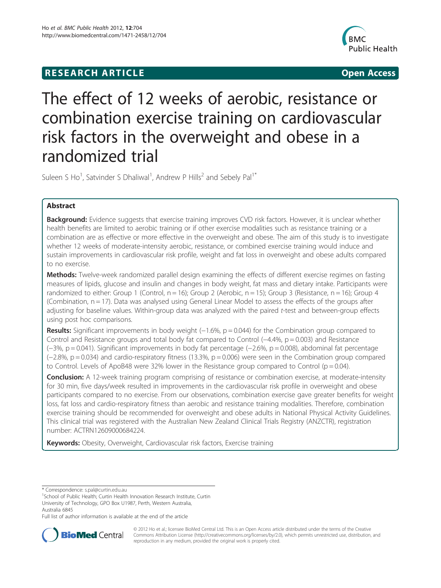## **RESEARCH ARTICLE CONSUMING A RESEARCH ARTICLE**



# The effect of 12 weeks of aerobic, resistance or combination exercise training on cardiovascular risk factors in the overweight and obese in a randomized trial

Suleen S Ho<sup>1</sup>, Satvinder S Dhaliwal<sup>1</sup>, Andrew P Hills<sup>2</sup> and Sebely Pal<sup>1\*</sup>

## Abstract

Background: Evidence suggests that exercise training improves CVD risk factors. However, it is unclear whether health benefits are limited to aerobic training or if other exercise modalities such as resistance training or a combination are as effective or more effective in the overweight and obese. The aim of this study is to investigate whether 12 weeks of moderate-intensity aerobic, resistance, or combined exercise training would induce and sustain improvements in cardiovascular risk profile, weight and fat loss in overweight and obese adults compared to no exercise.

Methods: Twelve-week randomized parallel design examining the effects of different exercise regimes on fasting measures of lipids, glucose and insulin and changes in body weight, fat mass and dietary intake. Participants were randomized to either: Group 1 (Control,  $n = 16$ ); Group 2 (Aerobic,  $n = 15$ ); Group 3 (Resistance,  $n = 16$ ); Group 4 (Combination,  $n = 17$ ). Data was analysed using General Linear Model to assess the effects of the groups after adjusting for baseline values. Within-group data was analyzed with the paired t-test and between-group effects using post hoc comparisons.

**Results:** Significant improvements in body weight ( $-1.6\%$ ,  $p = 0.044$ ) for the Combination group compared to Control and Resistance groups and total body fat compared to Control (−4.4%, p = 0.003) and Resistance (−3%, p = 0.041). Significant improvements in body fat percentage (−2.6%, p = 0.008), abdominal fat percentage (−2.8%, p = 0.034) and cardio-respiratory fitness (13.3%, p = 0.006) were seen in the Combination group compared to Control. Levels of ApoB48 were 32% lower in the Resistance group compared to Control ( $p = 0.04$ ).

**Conclusion:** A 12-week training program comprising of resistance or combination exercise, at moderate-intensity for 30 min, five days/week resulted in improvements in the cardiovascular risk profile in overweight and obese participants compared to no exercise. From our observations, combination exercise gave greater benefits for weight loss, fat loss and cardio-respiratory fitness than aerobic and resistance training modalities. Therefore, combination exercise training should be recommended for overweight and obese adults in National Physical Activity Guidelines. This clinical trial was registered with the Australian New Zealand Clinical Trials Registry (ANZCTR), registration number: ACTRN12609000684224.

Keywords: Obesity, Overweight, Cardiovascular risk factors, Exercise training

Full list of author information is available at the end of the article



© 2012 Ho et al.; licensee BioMed Central Ltd. This is an Open Access article distributed under the terms of the Creative Commons Attribution License [\(http://creativecommons.org/licenses/by/2.0\)](http://creativecommons.org/licenses/by/2.0), which permits unrestricted use, distribution, and reproduction in any medium, provided the original work is properly cited.

<sup>\*</sup> Correspondence: [s.pal@curtin.edu.au](mailto:s.pal@curtin.edu.au) <sup>1</sup>

<sup>&</sup>lt;sup>1</sup>School of Public Health; Curtin Health Innovation Research Institute, Curtin University of Technology, GPO Box U1987, Perth, Western Australia, Australia 6845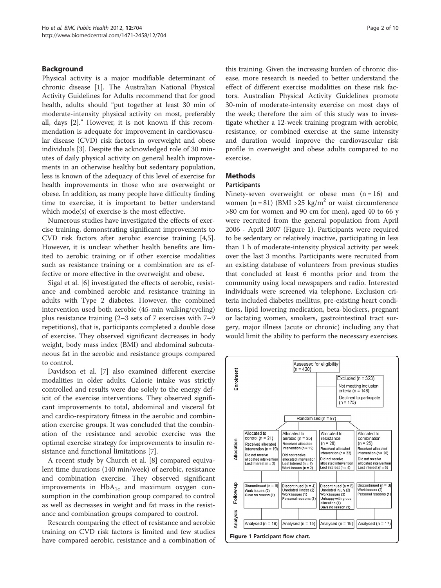## Background

Physical activity is a major modifiable determinant of chronic disease [[1\]](#page-8-0). The Australian National Physical Activity Guidelines for Adults recommend that for good health, adults should "put together at least 30 min of moderate-intensity physical activity on most, preferably all, days [[2](#page-8-0)]." However, it is not known if this recommendation is adequate for improvement in cardiovascular disease (CVD) risk factors in overweight and obese individuals [[3\]](#page-8-0). Despite the acknowledged role of 30 minutes of daily physical activity on general health improvements in an otherwise healthy but sedentary population, less is known of the adequacy of this level of exercise for health improvements in those who are overweight or obese. In addition, as many people have difficulty finding time to exercise, it is important to better understand which mode(s) of exercise is the most effective.

Numerous studies have investigated the effects of exercise training, demonstrating significant improvements to CVD risk factors after aerobic exercise training [\[4,5](#page-8-0)]. However, it is unclear whether health benefits are limited to aerobic training or if other exercise modalities such as resistance training or a combination are as effective or more effective in the overweight and obese.

Sigal et al. [[6\]](#page-8-0) investigated the effects of aerobic, resistance and combined aerobic and resistance training in adults with Type 2 diabetes. However, the combined intervention used both aerobic (45-min walking/cycling) plus resistance training (2–3 sets of 7 exercises with 7–9 repetitions), that is, participants completed a double dose of exercise. They observed significant decreases in body weight, body mass index (BMI) and abdominal subcutaneous fat in the aerobic and resistance groups compared to control.

Davidson et al. [[7\]](#page-8-0) also examined different exercise modalities in older adults. Calorie intake was strictly controlled and results were due solely to the energy deficit of the exercise interventions. They observed significant improvements to total, abdominal and visceral fat and cardio-respiratory fitness in the aerobic and combination exercise groups. It was concluded that the combination of the resistance and aerobic exercise was the optimal exercise strategy for improvements to insulin resistance and functional limitations [\[7](#page-8-0)].

A recent study by Church et al. [[8\]](#page-8-0) compared equivalent time durations (140 min/week) of aerobic, resistance and combination exercise. They observed significant improvements in  $HbA_{1c}$  and maximum oxygen consumption in the combination group compared to control as well as decreases in weight and fat mass in the resistance and combination groups compared to control.

Research comparing the effect of resistance and aerobic training on CVD risk factors is limited and few studies have compared aerobic, resistance and a combination of this training. Given the increasing burden of chronic disease, more research is needed to better understand the effect of different exercise modalities on these risk factors. Australian Physical Activity Guidelines promote 30-min of moderate-intensity exercise on most days of the week; therefore the aim of this study was to investigate whether a 12-week training program with aerobic, resistance, or combined exercise at the same intensity and duration would improve the cardiovascular risk profile in overweight and obese adults compared to no exercise.

## Methods

#### **Participants**

Ninety-seven overweight or obese men  $(n = 16)$  and women (n = 81) (BMI > 25 kg/m<sup>2</sup> or waist circumference >80 cm for women and 90 cm for men), aged 40 to 66 y were recruited from the general population from April 2006 - April 2007 (Figure 1). Participants were required to be sedentary or relatively inactive, participating in less than 1 h of moderate-intensity physical activity per week over the last 3 months. Participants were recruited from an existing database of volunteers from previous studies that concluded at least 6 months prior and from the community using local newspapers and radio. Interested individuals were screened via telephone. Exclusion criteria included diabetes mellitus, pre-existing heart conditions, lipid lowering medication, beta-blockers, pregnant or lactating women, smokers, gastrointestinal tract surgery, major illness (acute or chronic) including any that would limit the ability to perform the necessary exercises.

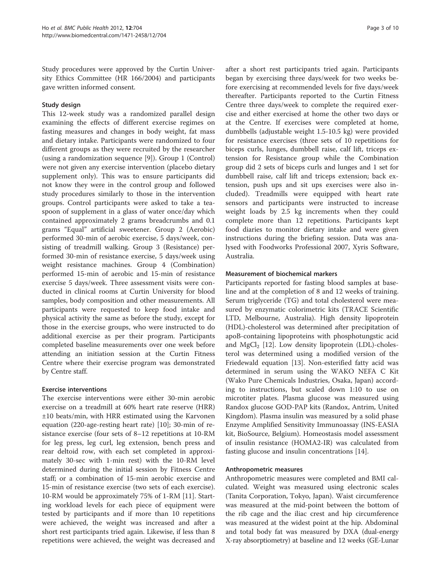Study procedures were approved by the Curtin University Ethics Committee (HR 166/2004) and participants gave written informed consent.

## Study design

This 12-week study was a randomized parallel design examining the effects of different exercise regimes on fasting measures and changes in body weight, fat mass and dietary intake. Participants were randomized to four different groups as they were recruited by the researcher (using a randomization sequence [\[9](#page-8-0)]). Group 1 (Control) were not given any exercise intervention (placebo dietary supplement only). This was to ensure participants did not know they were in the control group and followed study procedures similarly to those in the intervention groups. Control participants were asked to take a teaspoon of supplement in a glass of water once/day which contained approximately 2 grams breadcrumbs and 0.1 grams "Equal" artificial sweetener. Group 2 (Aerobic) performed 30-min of aerobic exercise, 5 days/week, consisting of treadmill walking. Group 3 (Resistance) performed 30-min of resistance exercise, 5 days/week using weight resistance machines. Group 4 (Combination) performed 15-min of aerobic and 15-min of resistance exercise 5 days/week. Three assessment visits were conducted in clinical rooms at Curtin University for blood samples, body composition and other measurements. All participants were requested to keep food intake and physical activity the same as before the study, except for those in the exercise groups, who were instructed to do additional exercise as per their program. Participants completed baseline measurements over one week before attending an initiation session at the Curtin Fitness Centre where their exercise program was demonstrated by Centre staff.

## Exercise interventions

The exercise interventions were either 30-min aerobic exercise on a treadmill at 60% heart rate reserve (HRR) ±10 beats/min, with HRR estimated using the Karvonen equation (220-age-resting heart rate) [[10](#page-8-0)]; 30-min of resistance exercise (four sets of 8–12 repetitions at 10-RM for leg press, leg curl, leg extension, bench press and rear deltoid row, with each set completed in approximately 30-sec with 1-min rest) with the 10-RM level determined during the initial session by Fitness Centre staff; or a combination of 15-min aerobic exercise and 15-min of resistance exercise (two sets of each exercise). 10-RM would be approximately 75% of 1-RM [[11\]](#page-8-0). Starting workload levels for each piece of equipment were tested by participants and if more than 10 repetitions were achieved, the weight was increased and after a short rest participants tried again. Likewise, if less than 8 repetitions were achieved, the weight was decreased and

after a short rest participants tried again. Participants began by exercising three days/week for two weeks before exercising at recommended levels for five days/week thereafter. Participants reported to the Curtin Fitness Centre three days/week to complete the required exercise and either exercised at home the other two days or at the Centre. If exercises were completed at home, dumbbells (adjustable weight 1.5-10.5 kg) were provided for resistance exercises (three sets of 10 repetitions for biceps curls, lunges, dumbbell raise, calf lift, triceps extension for Resistance group while the Combination group did 2 sets of biceps curls and lunges and 1 set for dumbbell raise, calf lift and triceps extension; back extension, push ups and sit ups exercises were also included). Treadmills were equipped with heart rate sensors and participants were instructed to increase weight loads by 2.5 kg increments when they could complete more than 12 repetitions. Participants kept food diaries to monitor dietary intake and were given instructions during the briefing session. Data was analysed with Foodworks Professional 2007, Xyris Software, Australia.

## Measurement of biochemical markers

Participants reported for fasting blood samples at baseline and at the completion of 8 and 12 weeks of training. Serum triglyceride (TG) and total cholesterol were measured by enzymatic colorimetric kits (TRACE Scientific LTD, Melbourne, Australia). High density lipoprotein (HDL)-cholesterol was determined after precipitation of apoB-containing lipoproteins with phosphotungstic acid and  $MgCl<sub>2</sub>$  [[12\]](#page-8-0). Low density lipoprotein (LDL)-cholesterol was determined using a modified version of the Friedewald equation [[13\]](#page-8-0). Non-esterified fatty acid was determined in serum using the WAKO NEFA C Kit (Wako Pure Chemicals Industries, Osaka, Japan) according to instructions, but scaled down 1:10 to use on microtiter plates. Plasma glucose was measured using Randox glucose GOD-PAP kits (Randox, Antrim, United Kingdom). Plasma insulin was measured by a solid phase Enzyme Amplified Sensitivity Immunoassay (INS-EASIA kit, BioSource, Belgium). Homeostasis model assessment of insulin resistance (HOMA2-IR) was calculated from fasting glucose and insulin concentrations [[14\]](#page-8-0).

#### Anthropometric measures

Anthropometric measures were completed and BMI calculated. Weight was measured using electronic scales (Tanita Corporation, Tokyo, Japan). Waist circumference was measured at the mid-point between the bottom of the rib cage and the iliac crest and hip circumference was measured at the widest point at the hip. Abdominal and total body fat was measured by DXA (dual-energy X-ray absorptiometry) at baseline and 12 weeks (GE-Lunar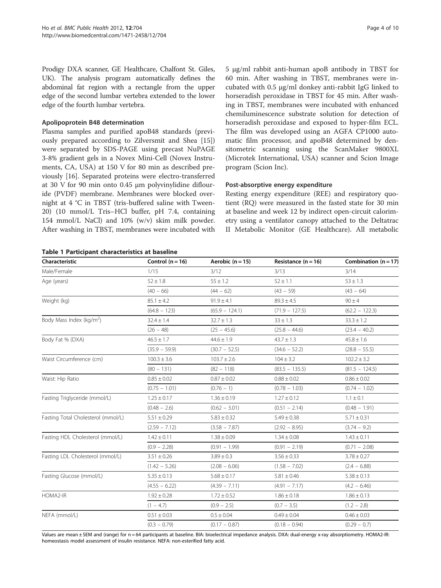<span id="page-3-0"></span>Prodigy DXA scanner, GE Healthcare, Chalfont St. Giles, UK). The analysis program automatically defines the abdominal fat region with a rectangle from the upper edge of the second lumbar vertebra extended to the lower edge of the fourth lumbar vertebra.

#### Apolipoprotein B48 determination

Plasma samples and purified apoB48 standards (previously prepared according to Zilversmit and Shea [\[15](#page-8-0)]) were separated by SDS-PAGE using precast NuPAGE 3-8% gradient gels in a Novex Mini-Cell (Novex Instruments, CA, USA) at 150 V for 80 min as described previously [[16\]](#page-8-0). Separated proteins were electro-transferred at 30 V for 90 min onto 0.45 μm polyvinylidine diflouride (PVDF) membrane. Membranes were blocked overnight at 4 °C in TBST (tris-buffered saline with Tween-20) (10 mmol/L Tris–HCl buffer, pH 7.4, containing 154 mmol/L NaCl) and 10% (w/v) skim milk powder. After washing in TBST, membranes were incubated with

Table 1 Participant characteristics at baseline

5 μg/ml rabbit anti-human apoB antibody in TBST for 60 min. After washing in TBST, membranes were incubated with 0.5 μg/ml donkey anti-rabbit IgG linked to horseradish peroxidase in TBST for 45 min. After washing in TBST, membranes were incubated with enhanced chemiluminescence substrate solution for detection of horseradish peroxidase and exposed to hyper-film ECL. The film was developed using an AGFA CP1000 automatic film processor, and apoB48 determined by densitometric scanning using the ScanMaker 9800XL (Microtek International, USA) scanner and Scion Image program (Scion Inc).

#### Post-absorptive energy expenditure

Resting energy expenditure (REE) and respiratory quotient (RQ) were measured in the fasted state for 30 min at baseline and week 12 by indirect open-circuit calorimetry using a ventilator canopy attached to the Deltatrac II Metabolic Monitor (GE Healthcare). All metabolic

| Male/Female<br>1/15<br>3/14<br>3/12<br>3/13<br>Age (years)<br>$52 \pm 1.8$<br>$55 \pm 1.2$<br>$52 \pm 1.1$<br>$53 \pm 1.3$<br>$(40 - 66)$<br>$(44 - 62)$<br>$(43 - 59)$<br>$(43 - 64)$<br>Weight (kg)<br>$85.1 \pm 4.2$<br>$91.9 \pm 4.1$<br>$89.3 \pm 4.5$<br>$90 \pm 4$<br>$(64.8 - 123)$<br>$(65.9 - 124.1)$<br>$(71.9 - 127.5)$<br>$(62.2 - 122.3)$<br>Body Mass Index (kg/m <sup>2</sup> )<br>$32.4 \pm 1.4$<br>$32.7 \pm 1.3$<br>$33 \pm 1.3$<br>$33.3 \pm 1.2$<br>$(26 - 48)$<br>$(25 - 45.6)$<br>$(25.8 - 44.6)$<br>$(23.4 - 40.2)$<br>$43.7 \pm 1.3$<br>Body Fat % (DXA)<br>$46.5 \pm 1.7$<br>$44.6 \pm 1.9$<br>$45.8 \pm 1.6$<br>$(35.9 - 59.9)$<br>$(34.6 - 52.2)$<br>$(30.7 - 52.5)$<br>$(28.8 - 55.5)$<br>Waist Circumference (cm)<br>$100.3 \pm 3.6$<br>$103.7 \pm 2.6$<br>$104 \pm 3.2$<br>$102.2 \pm 3.2$ | Combination $(n = 17)$ |
|---------------------------------------------------------------------------------------------------------------------------------------------------------------------------------------------------------------------------------------------------------------------------------------------------------------------------------------------------------------------------------------------------------------------------------------------------------------------------------------------------------------------------------------------------------------------------------------------------------------------------------------------------------------------------------------------------------------------------------------------------------------------------------------------------------------------------|------------------------|
|                                                                                                                                                                                                                                                                                                                                                                                                                                                                                                                                                                                                                                                                                                                                                                                                                           |                        |
|                                                                                                                                                                                                                                                                                                                                                                                                                                                                                                                                                                                                                                                                                                                                                                                                                           |                        |
|                                                                                                                                                                                                                                                                                                                                                                                                                                                                                                                                                                                                                                                                                                                                                                                                                           |                        |
|                                                                                                                                                                                                                                                                                                                                                                                                                                                                                                                                                                                                                                                                                                                                                                                                                           |                        |
|                                                                                                                                                                                                                                                                                                                                                                                                                                                                                                                                                                                                                                                                                                                                                                                                                           |                        |
|                                                                                                                                                                                                                                                                                                                                                                                                                                                                                                                                                                                                                                                                                                                                                                                                                           |                        |
|                                                                                                                                                                                                                                                                                                                                                                                                                                                                                                                                                                                                                                                                                                                                                                                                                           |                        |
|                                                                                                                                                                                                                                                                                                                                                                                                                                                                                                                                                                                                                                                                                                                                                                                                                           |                        |
|                                                                                                                                                                                                                                                                                                                                                                                                                                                                                                                                                                                                                                                                                                                                                                                                                           |                        |
|                                                                                                                                                                                                                                                                                                                                                                                                                                                                                                                                                                                                                                                                                                                                                                                                                           |                        |
| $(80 - 131)$<br>$(81.5 - 124.5)$<br>$(82 - 118)$<br>$(83.5 - 135.5)$                                                                                                                                                                                                                                                                                                                                                                                                                                                                                                                                                                                                                                                                                                                                                      |                        |
| Waist: Hip Ratio<br>$0.85 \pm 0.02$<br>$0.88 \pm 0.02$<br>$0.87 \pm 0.02$<br>$0.86 \pm 0.02$                                                                                                                                                                                                                                                                                                                                                                                                                                                                                                                                                                                                                                                                                                                              |                        |
| $(0.75 - 1.01)$<br>$(0.76 - 1)$<br>$(0.78 - 1.03)$<br>$(0.74 - 1.02)$                                                                                                                                                                                                                                                                                                                                                                                                                                                                                                                                                                                                                                                                                                                                                     |                        |
| Fasting Triglyceride (mmol/L)<br>$1.25 \pm 0.17$<br>$1.36 \pm 0.19$<br>$1.27 \pm 0.12$<br>$1.1 \pm 0.1$                                                                                                                                                                                                                                                                                                                                                                                                                                                                                                                                                                                                                                                                                                                   |                        |
| $(0.48 - 2.6)$<br>$(0.51 - 2.14)$<br>$(0.48 - 1.91)$<br>$(0.62 - 3.01)$                                                                                                                                                                                                                                                                                                                                                                                                                                                                                                                                                                                                                                                                                                                                                   |                        |
| Fasting Total Cholesterol (mmol/L)<br>$5.51 \pm 0.29$<br>$5.83 \pm 0.32$<br>$5.49 \pm 0.38$<br>$5.71 \pm 0.31$                                                                                                                                                                                                                                                                                                                                                                                                                                                                                                                                                                                                                                                                                                            |                        |
| $(2.59 - 7.12)$<br>$(3.58 - 7.87)$<br>$(2.92 - 8.95)$<br>$(3.74 - 9.2)$                                                                                                                                                                                                                                                                                                                                                                                                                                                                                                                                                                                                                                                                                                                                                   |                        |
| Fasting HDL Cholesterol (mmol/L)<br>$1.42 \pm 0.11$<br>$1.38 \pm 0.09$<br>$1.34 \pm 0.08$<br>$1.43 \pm 0.11$                                                                                                                                                                                                                                                                                                                                                                                                                                                                                                                                                                                                                                                                                                              |                        |
| $(0.9 - 2.28)$<br>$(0.91 - 1.99)$<br>$(0.91 - 2.19)$<br>$(0.71 - 2.08)$                                                                                                                                                                                                                                                                                                                                                                                                                                                                                                                                                                                                                                                                                                                                                   |                        |
| Fasting LDL Cholesterol (mmol/L)<br>$3.51 \pm 0.26$<br>$3.89 \pm 0.3$<br>$3.56 \pm 0.33$<br>$3.78 \pm 0.27$                                                                                                                                                                                                                                                                                                                                                                                                                                                                                                                                                                                                                                                                                                               |                        |
| $(1.42 - 5.26)$<br>$(2.08 - 6.06)$<br>$(1.58 - 7.02)$<br>$(2.4 - 6.88)$                                                                                                                                                                                                                                                                                                                                                                                                                                                                                                                                                                                                                                                                                                                                                   |                        |
| Fasting Glucose (mmol/L)<br>$5.35 \pm 0.13$<br>$5.68 \pm 0.17$<br>$5.81 \pm 0.46$<br>$5.38 \pm 0.13$                                                                                                                                                                                                                                                                                                                                                                                                                                                                                                                                                                                                                                                                                                                      |                        |
| $(4.55 - 6.22)$<br>$(4.39 - 7.11)$<br>$(4.91 - 7.17)$<br>$(4.2 - 6.46)$                                                                                                                                                                                                                                                                                                                                                                                                                                                                                                                                                                                                                                                                                                                                                   |                        |
| HOMA2-IR<br>$1.92 \pm 0.28$<br>$1.72 \pm 0.52$<br>$1.86 \pm 0.18$<br>$1.86 \pm 0.13$                                                                                                                                                                                                                                                                                                                                                                                                                                                                                                                                                                                                                                                                                                                                      |                        |
| $(1 - 4.7)$<br>$(0.9 - 2.5)$<br>$(1.2 - 2.8)$<br>$(0.7 - 3.5)$                                                                                                                                                                                                                                                                                                                                                                                                                                                                                                                                                                                                                                                                                                                                                            |                        |
| NEFA (mmol/L)<br>$0.51 \pm 0.03$<br>$0.5 \pm 0.04$<br>$0.49 \pm 0.04$<br>$0.46 \pm 0.03$                                                                                                                                                                                                                                                                                                                                                                                                                                                                                                                                                                                                                                                                                                                                  |                        |
| $(0.3 - 0.79)$<br>$(0.17 - 0.87)$<br>$(0.18 - 0.94)$<br>$(0.29 - 0.7)$                                                                                                                                                                                                                                                                                                                                                                                                                                                                                                                                                                                                                                                                                                                                                    |                        |

Values are mean ± SEM and (range) for n = 64 participants at baseline. BIA: bioelectrical impedance analysis. DXA: dual-energy x-ray absorptiometry. HOMA2-IR: homeostasis model assessment of insulin resistance. NEFA: non-esterified fatty acid.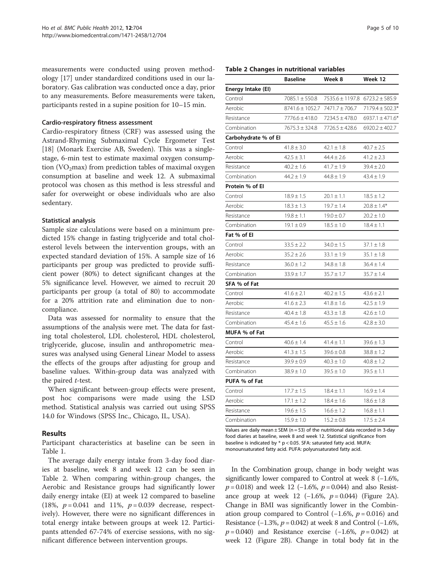measurements were conducted using proven methodology [[17\]](#page-8-0) under standardized conditions used in our laboratory. Gas calibration was conducted once a day, prior to any measurements. Before measurements were taken, participants rested in a supine position for 10–15 min.

#### Cardio-respiratory fitness assessment

Cardio-respiratory fitness (CRF) was assessed using the Astrand-Rhyming Submaximal Cycle Ergometer Test [[18\]](#page-8-0) (Monark Exercise AB, Sweden). This was a singlestage, 6-min test to estimate maximal oxygen consumption (VO<sub>2</sub>max) from prediction tables of maximal oxygen consumption at baseline and week 12. A submaximal protocol was chosen as this method is less stressful and safer for overweight or obese individuals who are also sedentary.

#### Statistical analysis

Sample size calculations were based on a minimum predicted 15% change in fasting triglyceride and total cholesterol levels between the intervention groups, with an expected standard deviation of 15%. A sample size of 16 participants per group was predicted to provide sufficient power (80%) to detect significant changes at the 5% significance level. However, we aimed to recruit 20 participants per group (a total of 80) to accommodate for a 20% attrition rate and elimination due to noncompliance.

Data was assessed for normality to ensure that the assumptions of the analysis were met. The data for fasting total cholesterol, LDL cholesterol, HDL cholesterol, triglyceride, glucose, insulin and anthropometric measures was analysed using General Linear Model to assess the effects of the groups after adjusting for group and baseline values. Within-group data was analyzed with the paired t-test.

When significant between-group effects were present, post hoc comparisons were made using the LSD method. Statistical analysis was carried out using SPSS 14.0 for Windows (SPSS Inc., Chicago, IL, USA).

## Results

Participant characteristics at baseline can be seen in Table [1.](#page-3-0)

The average daily energy intake from 3-day food diaries at baseline, week 8 and week 12 can be seen in Table 2. When comparing within-group changes, the Aerobic and Resistance groups had significantly lower daily energy intake (EI) at week 12 compared to baseline (18%,  $p = 0.041$  and 11%,  $p = 0.039$  decrease, respectively). However, there were no significant differences in total energy intake between groups at week 12. Participants attended 67-74% of exercise sessions, with no significant difference between intervention groups.

#### Table 2 Changes in nutritional variables

|                      | <b>Baseline</b>     | Week 8                         | Week 12             |
|----------------------|---------------------|--------------------------------|---------------------|
| Energy Intake (EI)   |                     |                                |                     |
| Control              | $7085.1 \pm 550.8$  | 7535.6 ± 1197.8 6723.2 ± 585.9 |                     |
| Aerobic              | $8741.6 \pm 1052.7$ | 7471.7 ± 706.7                 | 7179.4 ± 502.3*     |
| Resistance           | $7776.6 \pm 418.0$  | $7234.5 \pm 478.0$             | 6937.1 $\pm$ 471.6* |
| Combination          | $7675.3 \pm 324.8$  | 7726.5 ± 428.6                 | $6920.2 \pm 402.7$  |
| Carbohydrate % of El |                     |                                |                     |
| Control              | $41.8 \pm 3.0$      | $42.1 \pm 1.8$                 | $40.7 \pm 2.5$      |
| Aerobic              | $42.5 \pm 3.1$      | $44.4 \pm 2.6$                 | $41.2 \pm 2.3$      |
| Resistance           | $40.2 \pm 1.6$      | $41.7 \pm 1.9$                 | $39.4 \pm 2.0$      |
| Combination          | $44.2 \pm 1.9$      | $44.8 \pm 1.9$                 | $43.4 \pm 1.9$      |
| Protein % of El      |                     |                                |                     |
| Control              | $18.9 \pm 1.5$      | $20.1 \pm 1.1$                 | $18.5 \pm 1.2$      |
| Aerobic              | $18.3 \pm 1.3$      | $19.7 \pm 1.4$                 | $20.8 \pm 1.4*$     |
| Resistance           | $19.8 \pm 1.1$      | $19.0 \pm 0.7$                 | $20.2 \pm 1.0$      |
| Combination          | $19.1 \pm 0.9$      | $18.5 \pm 1.0$                 | $18.4 \pm 1.1$      |
| Fat % of El          |                     |                                |                     |
| Control              | $33.5 \pm 2.2$      | $34.0 \pm 1.5$                 | $37.1 \pm 1.8$      |
| Aerobic              | $35.2 \pm 2.6$      | $33.1 \pm 1.9$                 | $35.1 \pm 1.8$      |
| Resistance           | $36.0 \pm 1.2$      | $34.8 \pm 1.8$                 | $36.4 \pm 1.4$      |
| Combination          | $33.9 \pm 1.7$      | $35.7 \pm 1.7$                 | $35.7 \pm 1.4$      |
| SFA % of Fat         |                     |                                |                     |
| Control              | $41.6 \pm 2.1$      | $40.2 \pm 1.5$                 | $43.6 \pm 2.1$      |
| Aerobic              | $41.6 \pm 2.3$      | $41.8 \pm 1.6$                 | $42.5 \pm 1.9$      |
| Resistance           | $40.4 \pm 1.8$      | $43.3 \pm 1.8$                 | $42.6 \pm 1.0$      |
| Combination          | $45.4 \pm 1.6$      | $45.5 \pm 1.6$                 | $42.8 \pm 3.0$      |
| MUFA % of Fat        |                     |                                |                     |
| Control              | $40.6 \pm 1.4$      | $41.4 \pm 1.1$                 | $39.6 \pm 1.3$      |
| Aerobic              | $41.3 \pm 1.5$      | $39.6 \pm 0.8$                 | $38.8 \pm 1.2$      |
| Resistance           | $39.9 \pm 0.9$      | $40.3 \pm 1.0$                 | $40.8 \pm 1.2$      |
| Combination          | $38.9 \pm 1.0$      | $39.5 \pm 1.0$                 | $39.5 \pm 1.1$      |
| PUFA % of Fat        |                     |                                |                     |
| Control              | $17.7 \pm 1.5$      | $18.4 \pm 1.1$                 | $16.9 \pm 1.4$      |
| Aerobic              | $17.1 \pm 1.2$      | $18.4 \pm 1.6$                 | $18.6 \pm 1.8$      |
| Resistance           | $19.6 \pm 1.5$      | $16.6 \pm 1.2$                 | $16.8 \pm 1.1$      |
| Combination          | $15.9 \pm 1.0$      | $15.2 \pm 0.8$                 | $17.5 \pm 2.4$      |

Values are daily mean  $\pm$  SEM (n = 53) of the nutritional data recorded in 3-day food diaries at baseline, week 8 and week 12. Statistical significance from baseline is indicated by \* p < 0.05. SFA: saturated fatty acid. MUFA: monounsaturated fatty acid. PUFA: polyunsaturated fatty acid.

In the Combination group, change in body weight was significantly lower compared to Control at week 8 (−1.6%,  $p = 0.018$ ) and week 12 (−1.6%,  $p = 0.044$ ) and also Resistance group at week 12 (−1.6%,  $p = 0.044$ ) (Figure [2A](#page-5-0)). Change in BMI was significantly lower in the Combination group compared to Control  $(-1.6\%, p=0.016)$  and Resistance (−1.3%,  $p = 0.042$ ) at week 8 and Control (−1.6%,  $p = 0.040$ ) and Resistance exercise (−1.6%,  $p = 0.042$ ) at week 12 (Figure [2B](#page-5-0)). Change in total body fat in the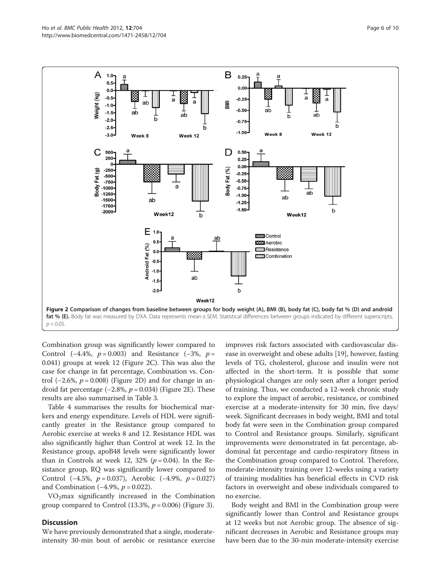<span id="page-5-0"></span>

Combination group was significantly lower compared to Control (−4.4%,  $p = 0.003$ ) and Resistance (−3%,  $p =$ 0.041) groups at week 12 (Figure 2C). This was also the case for change in fat percentage, Combination vs. Control (−2.6%,  $p = 0.008$ ) (Figure 2D) and for change in android fat percentage  $(-2.8\%, p = 0.034)$  (Figure 2E). These results are also summarised in Table [3](#page-6-0).

Table [4](#page-6-0) summarises the results for biochemical markers and energy expenditure. Levels of HDL were significantly greater in the Resistance group compared to Aerobic exercise at weeks 8 and 12. Resistance HDL was also significantly higher than Control at week 12. In the Resistance group, apoB48 levels were significantly lower than in Controls at week 12, 32% ( $p = 0.04$ ). In the Resistance group, RQ was significantly lower compared to Control (−4.5%,  $p = 0.037$ ), Aerobic (−4.9%,  $p = 0.027$ ) and Combination (−4.9%,  $p = 0.022$ ).

 $VO<sub>2</sub>max$  significantly increased in the Combination group compared to Control (13.3%,  $p = 0.006$ ) (Figure [3\)](#page-7-0).

## **Discussion**

We have previously demonstrated that a single, moderateintensity 30-min bout of aerobic or resistance exercise

improves risk factors associated with cardiovascular disease in overweight and obese adults [[19](#page-8-0)], however, fasting levels of TG, cholesterol, glucose and insulin were not affected in the short-term. It is possible that some physiological changes are only seen after a longer period of training. Thus, we conducted a 12-week chronic study to explore the impact of aerobic, resistance, or combined exercise at a moderate-intensity for 30 min, five days/ week. Significant decreases in body weight, BMI and total body fat were seen in the Combination group compared to Control and Resistance groups. Similarly, significant improvements were demonstrated in fat percentage, abdominal fat percentage and cardio-respiratory fitness in the Combination group compared to Control. Therefore, moderate-intensity training over 12-weeks using a variety of training modalities has beneficial effects in CVD risk factors in overweight and obese individuals compared to no exercise.

Body weight and BMI in the Combination group were significantly lower than Control and Resistance groups at 12 weeks but not Aerobic group. The absence of significant decreases in Aerobic and Resistance groups may have been due to the 30-min moderate-intensity exercise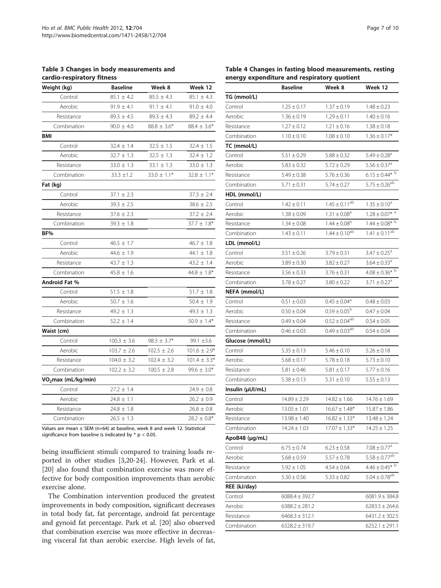<span id="page-6-0"></span>Table 3 Changes in body measurements and cardio-respiratory fitness

| Weight (kg)                     | <b>Baseline</b> | Week 8          | Week 12          |
|---------------------------------|-----------------|-----------------|------------------|
| Control                         | $85.1 \pm 4.2$  | $85.5 \pm 4.3$  | $85.1 \pm 4.3$   |
| Aerobic                         | $91.9 \pm 4.1$  | $91.1 \pm 4.1$  | $91.0 \pm 4.0$   |
| Resistance                      | $89.3 \pm 4.5$  | $89.3 \pm 4.3$  | $89.2 \pm 4.4$   |
| Combination                     | $90.0 \pm 4.0$  | $88.8 \pm 3.6*$ | $88.4 \pm 3.6*$  |
| BMI                             |                 |                 |                  |
| Control                         | $32.4 \pm 1.4$  | $32.5 \pm 1.5$  | $32.4 \pm 1.5$   |
| Aerobic                         | $32.7 \pm 1.3$  | $32.5 \pm 1.3$  | $32.4 \pm 1.2$   |
| Resistance                      | $33.0 \pm 1.3$  | $33.1 \pm 1.3$  | $33.0 \pm 1.3$   |
| Combination                     | $33.3 \pm 1.2$  | $33.0 \pm 1.1*$ | $32.8 \pm 1.1*$  |
| Fat (kg)                        |                 |                 |                  |
| Control                         | $37.1 \pm 2.3$  |                 | $37.3 \pm 2.4$   |
| Aerobic                         | $39.3 \pm 2.5$  |                 | $38.6 \pm 2.5$   |
| Resistance                      | $37.6 \pm 2.3$  |                 | $37.2 \pm 2.4$   |
| Combination                     | $39.3 \pm 1.8$  |                 | $37.7 \pm 1.8*$  |
| BF%                             |                 |                 |                  |
| Control                         | $46.5 \pm 1.7$  |                 | $46.7 \pm 1.8$   |
| Aerobic                         | $44.6 \pm 1.9$  |                 | 44.1 $\pm$ 1.8   |
| Resistance                      | $43.7 \pm 1.3$  |                 | $43.2 \pm 1.4$   |
| Combination                     | $45.8 \pm 1.6$  |                 | $44.8 \pm 1.8*$  |
| Android Fat %                   |                 |                 |                  |
| Control                         | $51.5 \pm 1.8$  |                 | $51.7 \pm 1.8$   |
| Aerobic                         | $50.7 \pm 1.6$  |                 | $50.4 \pm 1.9$   |
| Resistance                      | $49.2 \pm 1.3$  |                 | $49.3 \pm 1.3$   |
| Combination                     | $52.2 \pm 1.4$  |                 | $50.9 \pm 1.4*$  |
| Waist (cm)                      |                 |                 |                  |
| Control                         | $100.3 \pm 3.6$ | $98.3 \pm 3.7*$ | 99.1 ±3.6        |
| Aerobic                         | $103.7 \pm 2.6$ | $102.5 \pm 2.6$ | $101.6 \pm 2.9*$ |
| Resistance                      | $104.0 \pm 3.2$ | $102.4 \pm 3.2$ | $101.4 \pm 3.3*$ |
| Combination                     | $102.2 \pm 3.2$ | $100.5 \pm 2.8$ | $99.6 \pm 3.0*$  |
| VO <sub>2</sub> max (mL/kg/min) |                 |                 |                  |
| Control                         | $27.2 \pm 1.4$  |                 | $24.9 \pm 0.8$   |
| Aerobic                         | $24.8 \pm 1.1$  |                 | $26.2 \pm 0.9$   |
| Resistance                      | $24.8 \pm 1.8$  |                 | $26.8 \pm 0.8$   |
| Combination                     | $26.5 \pm 1.3$  |                 | $28.2 \pm 0.8^*$ |

Values are mean  $\pm$  SEM (n=64) at baseline, week 8 and week 12. Statistical significance from baseline is indicated by  $*$  p < 0.05.

being insufficient stimuli compared to training loads reported in other studies [\[3,20-24](#page-8-0)]. However, Park et al. [[20\]](#page-8-0) also found that combination exercise was more effective for body composition improvements than aerobic exercise alone.

The Combination intervention produced the greatest improvements in body composition, significant decreases in total body fat, fat percentage, android fat percentage and gynoid fat percentage. Park et al. [\[20](#page-8-0)] also observed that combination exercise was more effective in decreasing visceral fat than aerobic exercise. High levels of fat,

Table 4 Changes in fasting blood measurements, resting energy expenditure and respiratory quotient

|                  | <b>Baseline</b>    | Week 8                       | Week 12                         |
|------------------|--------------------|------------------------------|---------------------------------|
| TG (mmol/L)      |                    |                              |                                 |
| Control          | $1.25 \pm 0.17$    | $1.37 \pm 0.19$              | $1.48 \pm 0.23$                 |
| Aerobic          | $1.36 \pm 0.19$    | $1.29 \pm 0.11$              | $1.40 \pm 0.16$                 |
| Resistance       | $1.27 \pm 0.12$    | $1.21 \pm 0.16$              | $1.38 \pm 0.18$                 |
| Combination      | $1.10 \pm 0.10$    | $1.08 \pm 0.10$              | $1.36 \pm 0.17*$                |
| TC (mmol/L)      |                    |                              |                                 |
| Control          | $5.51 \pm 0.29$    | $5.88 \pm 0.32$              | $5.49 \pm 0.28$ <sup>a</sup>    |
| Aerobic          | $5.83 \pm 0.32$    | $5.72 \pm 0.29$              | $5.56 \pm 0.37$ <sup>a</sup>    |
| Resistance       | $5.49 \pm 0.38$    | $5.76 \pm 0.36$              | $6.15 \pm 0.44*$ <sup>b</sup>   |
| Combination      | $5.71 \pm 0.31$    | $5.74 \pm 0.27$              | $5.75 \pm 0.26^{ab}$            |
| HDL (mmol/L)     |                    |                              |                                 |
| Control          | $1.42 \pm 0.11$    | $1.45 \pm 0.11^{ab}$         | $1.35 \pm 0.10^a$               |
| Aerobic          | $1.38 \pm 0.09$    | $1.31 \pm 0.08^a$            | $1.28 \pm 0.07*$ <sup>a</sup>   |
| Resistance       | $1.34 \pm 0.08$    | $1.44 \pm 0.08^{b}$          | $1.44 \pm 0.08*$ <sup>b</sup>   |
| Combination      | $1.43 \pm 0.11$    | $1.44 \pm 0.10^{ab}$         | $1.41 \pm 0.11^{a\overline{b}}$ |
| LDL (mmol/L)     |                    |                              |                                 |
| Control          | $3.51 \pm 0.26$    | $3.79 \pm 0.31$              | $3.47 \pm 0.25^a$               |
| Aerobic          | $3.89 \pm 0.30$    | $3.82 \pm 0.27$              | $3.64 \pm 0.33$ <sup>a</sup>    |
| Resistance       | $3.56 \pm 0.33$    | $3.76 \pm 0.31$              | $4.08 \pm 0.36^{*}$ b           |
| Combination      | $3.78 \pm 0.27$    | $3.80 \pm 0.22$              | $3.71 \pm 0.22^a$               |
| NEFA (mmol/L)    |                    |                              |                                 |
| Control          | $0.51 \pm 0.03$    | $0.45 \pm 0.04$ <sup>a</sup> | $0.48 \pm 0.03$                 |
| Aerobic          | $0.50 \pm 0.04$    | $0.59 \pm 0.05^{\rm b}$      | $0.47 \pm 0.04$                 |
| Resistance       | $0.49 \pm 0.04$    | $0.52 \pm 0.04^{ab}$         | $0.54 \pm 0.05$                 |
| Combination      | $0.46 \pm 0.03$    | $0.49 \pm 0.03^{ab}$         | $0.54 \pm 0.04$                 |
| Glucose (mmol/L) |                    |                              |                                 |
| Control          | $5.35 \pm 0.13$    | $5.46 \pm 0.10$              | $5.26 \pm 0.18$                 |
| Aerobic          | $5.68 \pm 0.17$    | $5.78 \pm 0.18$              | $5.73 \pm 0.10$                 |
| Resistance       | $5.81 \pm 0.46$    | $5.81 \pm 0.17$              | $5.77 \pm 0.16$                 |
| Combination      | $5.38 \pm 0.13$    | $5.31 \pm 0.10$              | $5.55 \pm 0.13$                 |
| Insulin (µUI/mL) |                    |                              |                                 |
| Control          | $14.89 \pm 2.29$   | $14.82 \pm 1.66$             | $14.76 \pm 1.69$                |
| Aerobic          | $13.05 \pm 1.01$   | $16.67 \pm 1.48*$            | $15.87 \pm 1.86$                |
| Resistance       | $13.98 \pm 1.40$   | $16.82 \pm 1.33*$            | $13.48 \pm 1.24$                |
| Combination      | $14.24 \pm 1.03$   | $17.07 \pm 1.33*$            | $14.25 \pm 1.25$                |
| ApoB48 (µg/mL)   |                    |                              |                                 |
| Control          | $6.75 \pm 0.74$    | $6.23 \pm 0.58$              | $7.08 \pm 0.77^a$               |
| Aerobic          | $5.68 \pm 0.59$    | $5.57 \pm 0.78$              | $5.58 \pm 0.77^{ab}$            |
| Resistance       | $5.92 \pm 1.05$    | $4.54 \pm 0.64$              | $4.46 \pm 0.45*$ <sup>b</sup>   |
| Combination      | $5.30 \pm 0.56$    | $5.33 \pm 0.82$              | $5.04 \pm 0.78^{ab}$            |
| REE (kJ/day)     |                    |                              |                                 |
| Control          | $6088.4 \pm 392.7$ |                              | $6081.9 \pm 384.8$              |
| Aerobic          | $6388.2 \pm 281.2$ |                              | $6283.5 \pm 264.6$              |
| Resistance       | $6468.3 \pm 312.1$ |                              | $6431.2 \pm 302.5$              |
| Combination      | $6328.2 \pm 319.7$ |                              | $6252.1 \pm 291.1$              |
|                  |                    |                              |                                 |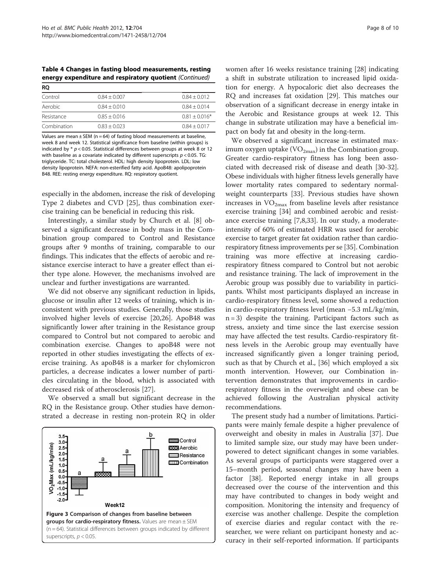<span id="page-7-0"></span>Table 4 Changes in fasting blood measurements, resting energy expenditure and respiratory quotient (Continued)

| RO          |                |                 |
|-------------|----------------|-----------------|
| Control     | $0.84 + 0.007$ | $0.84 + 0.012$  |
| Aerobic     | $0.84 + 0.010$ | $0.84 + 0.014$  |
| Resistance  | $0.85 + 0.016$ | $0.81 + 0.016*$ |
| Combination | $0.83 + 0.023$ | $0.84 + 0.017$  |

Values are mean  $\pm$  SEM (n = 64) of fasting blood measurements at baseline, week 8 and week 12. Statistical significance from baseline (within groups) is indicated by  $* p < 0.05$ . Statistical differences between groups at week 8 or 12 with baseline as a covariate indicated by different superscripts  $p < 0.05$ . TG: triglyceride. TC: total cholesterol. HDL: high density lipoprotein. LDL: low density lipoprotein. NEFA: non-esterified fatty acid. ApoB48: apolipoprotein B48. REE: resting energy expenditure. RQ: respiratory quotient.

especially in the abdomen, increase the risk of developing Type 2 diabetes and CVD [[25\]](#page-8-0), thus combination exercise training can be beneficial in reducing this risk.

Interestingly, a similar study by Church et al. [[8](#page-8-0)] observed a significant decrease in body mass in the Combination group compared to Control and Resistance groups after 9 months of training, comparable to our findings. This indicates that the effects of aerobic and resistance exercise interact to have a greater effect than either type alone. However, the mechanisms involved are unclear and further investigations are warranted.

We did not observe any significant reduction in lipids, glucose or insulin after 12 weeks of training, which is inconsistent with previous studies. Generally, those studies involved higher levels of exercise [\[20,26\]](#page-8-0). ApoB48 was significantly lower after training in the Resistance group compared to Control but not compared to aerobic and combination exercise. Changes to apoB48 were not reported in other studies investigating the effects of exercise training. As apoB48 is a marker for chylomicron particles, a decrease indicates a lower number of particles circulating in the blood, which is associated with decreased risk of atherosclerosis [[27\]](#page-9-0).

We observed a small but significant decrease in the RQ in the Resistance group. Other studies have demonstrated a decrease in resting non-protein RQ in older



women after 16 weeks resistance training [[28\]](#page-9-0) indicating a shift in substrate utilization to increased lipid oxidation for energy. A hypocaloric diet also decreases the RQ and increases fat oxidation [\[29](#page-9-0)]. This matches our observation of a significant decrease in energy intake in the Aerobic and Resistance groups at week 12. This change in substrate utilization may have a beneficial impact on body fat and obesity in the long-term.

We observed a significant increase in estimated maximum oxygen uptake  $(VO_{2max})$  in the Combination group. Greater cardio-respiratory fitness has long been associated with decreased risk of disease and death [\[30-32](#page-9-0)]. Obese individuals with higher fitness levels generally have lower mortality rates compared to sedentary normalweight counterparts [\[33](#page-9-0)]. Previous studies have shown increases in  $VO<sub>2max</sub>$  from baseline levels after resistance exercise training [\[34](#page-9-0)] and combined aerobic and resistance exercise training [\[7,8](#page-8-0)[,33](#page-9-0)]. In our study, a moderateintensity of 60% of estimated HRR was used for aerobic exercise to target greater fat oxidation rather than cardiorespiratory fitness improvements per se [[35\]](#page-9-0). Combination training was more effective at increasing cardiorespiratory fitness compared to Control but not aerobic and resistance training. The lack of improvement in the Aerobic group was possibly due to variability in participants. Whilst most participants displayed an increase in cardio-respiratory fitness level, some showed a reduction in cardio-respiratory fitness level (mean −5.3 mL/kg/min,  $n = 3$ ) despite the training. Participant factors such as stress, anxiety and time since the last exercise session may have affected the test results. Cardio-respiratory fitness levels in the Aerobic group may eventually have increased significantly given a longer training period, such as that by Church et al., [[36\]](#page-9-0) which employed a six month intervention. However, our Combination intervention demonstrates that improvements in cardiorespiratory fitness in the overweight and obese can be achieved following the Australian physical activity recommendations.

The present study had a number of limitations. Participants were mainly female despite a higher prevalence of overweight and obesity in males in Australia [\[37](#page-9-0)]. Due to limited sample size, our study may have been underpowered to detect significant changes in some variables. As several groups of participants were staggered over a 15–month period, seasonal changes may have been a factor [[38\]](#page-9-0). Reported energy intake in all groups decreased over the course of the intervention and this may have contributed to changes in body weight and composition. Monitoring the intensity and frequency of exercise was another challenge. Despite the completion of exercise diaries and regular contact with the researcher, we were reliant on participant honesty and accuracy in their self-reported information. If participants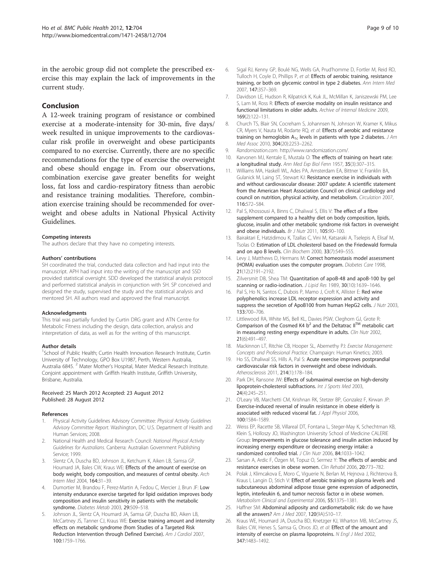<span id="page-8-0"></span>in the aerobic group did not complete the prescribed exercise this may explain the lack of improvements in the current study.

## Conclusion

A 12-week training program of resistance or combined exercise at a moderate-intensity for 30-min, five days/ week resulted in unique improvements to the cardiovascular risk profile in overweight and obese participants compared to no exercise. Currently, there are no specific recommendations for the type of exercise the overweight and obese should engage in. From our observations, combination exercise gave greater benefits for weight loss, fat loss and cardio-respiratory fitness than aerobic and resistance training modalities. Therefore, combination exercise training should be recommended for overweight and obese adults in National Physical Activity Guidelines.

#### Competing interests

The authors declare that they have no competing interests.

#### Authors' contributions

SH coordinated the trial, conducted data collection and had input into the manuscript. APH had input into the writing of the manuscript and SSD provided statistical oversight. SDD developed the statistical analysis protocol and performed statistical analysis in conjunction with SH. SP conceived and designed the study, supervised the study and the statistical analysis and mentored SH. All authors read and approved the final manuscript.

#### Acknowledgments

This trial was partially funded by Curtin DRG grant and ATN Centre for Metabolic Fitness including the design, data collection, analysis and interpretation of data, as well as for the writing of this manuscript.

#### Author details

<sup>1</sup>School of Public Health; Curtin Health Innovation Research Institute, Curtin University of Technology, GPO Box U1987, Perth, Western Australia, Australia 6845. <sup>2</sup> Mater Mother's Hospital, Mater Medical Research Institute. Conjoint appointment with Griffith Health Institute, Griffith University, Brisbane, Australia.

#### Received: 25 March 2012 Accepted: 23 August 2012 Published: 28 August 2012

#### References

- Physical Activity Guidelines Advisory Committee: Physical Activity Guidelines Advisory Committee Report. Washington, DC: U.S. Department of Health and Human Services; 2008.
- 2. National Health and Medical Research Council: National Physical Activity Guidelines for Australians. Canberra: Australian Government Publishing Service; 1999.
- 3. Slentz CA, Duscha BD, Johnson JL, Ketchum K, Aiken LB, Samsa GP, Houmard JA, Bales CW, Kraus WE: Effects of the amount of exercise on body weight, body composition, and measures of central obesity. Arch Intern Med 2004, 164:31–39.
- 4. Dumortier M, Brandou F, Perez-Martin A, Fedou C, Mercier J, Brun JF: Low intensity endurance exercise targeted for lipid oxidation improves body composition and insulin sensitivity in patients with the metabolic syndrome. Diabetes Metab 2003, 29:509–518.
- 5. Johnson JL, Slentz CA, Houmard JA, Samsa GP, Duscha BD, Aiken LB, McCartney JS, Tanner CJ, Kraus WE: Exercise training amount and intensity effects on metabolic syndrome (from Studies of a Targeted Risk Reduction Intervention through Defined Exercise). Am J Cardiol 2007, 100:1759–1766.
- 6. Sigal RJ, Kenny GP, Boulé NG, Wells GA, Prud'homme D, Fortler M, Reid RD, Tulloch H, Coyle D, Phillips P, et al: Effects of aerobic training, resistance training, or both on glycemic control in type 2 diabetes. Ann Intern Med 2007, 147:357–369.
- 7. Davidson LE, Hudson R, Kilpatrick K, Kuk JL, McMillan K, Janiszewski PM, Lee S, Lam M, Ross R: Effects of exercise modality on insulin resistance and functional limitations in older adults. Archive of Internal Medicine 2009, 169(2):122–131.
- 8. Church TS, Blair SN, Cocreham S, Johannsen N, Johnson W, Kramer K, Mikus CR, Myers V, Nauta M, Rodarte RQ, et al: Effects of aerobic and resistance training on hemoglobin  $A_{1c}$  levels in patients with type 2 diabetes. J Am Med Assoc 2010, 304(20):2253-2262.
- 9. Randomization.com. http://www.randomization.com/.
- 10. Karvonen MJ, Kentale E, Mustala O: The effects of training on heart rate: a longitudinal study. Ann Med Exp Biol Fenn 1957, 35(3):307-315.
- 11. Williams MA, Haskell WL, Ades PA, Amsterdam EA, Bittner V, Franklin BA, Gulanick M, Laing ST, Stewart KJ: Resistance exercise in individuals with and without cardiovascular disease: 2007 update: A scientific statement from the American Heart Association Council on clinical cardiology and council on nutrition, physical activity, and metabolism. Circulation 2007, 116:572–584.
- 12. Pal S, Khossousi A, Binns C, Dhaliwal S, Ellis V: The effect of a fibre supplement compared to a healthy diet on body composition, lipids, glucose, insulin and other metabolic syndrome risk factors in overweight and obese individuals. Br J Nutr 2011, 105:90-100.
- 13. Bairaktari E, Hatzidimou K, Tzallas C, Vini M, Katsaraki A, Tselepis A, Elisaf M, Tsolas O: Estimation of LDL cholesterol based on the Friedewald formula and on apo B levels. Clin Biochem 2000, 33(7):549-555.
- 14. Levy J, Matthews D, Hermans M: Correct homeostasis model assessment (HOMA) evaluation uses the computer program. Diabetes Care 1998, 21(12):2191–2192.
- 15. Zilversmit DB, Shea TM: Quantitation of apoB-48 and apoB-100 by gel scanning or radio-iodination. J Lipid Res 1989, 30(10):1639-1646.
- 16. Pal S, Ho N, Santos C, Dubois P, Mamo J, Croft K, Allister E: Red wine polyphenolics increase LDL receptor expression and activity and suppress the secretion of ApoB100 from human HepG2 cells. J Nutr 2003, 133:700–706.
- 17. Littlewood RA, White MS, Bell KL, Davies PSW, Cleghorn GJ, Grote R: Comparison of the Cosmed K4  $b^2$  and the Deltatrac II<sup>TM</sup> metabolic cart in measuring resting energy expenditure in adults. Clin Nutr 2002, 21(6):491–497.
- 18. Mackinnon LT, Ritchie CB, Hooper SL, Abernethy PJ: Exercise Management: Concepts and Professional Practice. Champaign: Human Kinetics; 2003.
- 19. Ho SS, Dhaliwal SS, Hills A, Pal S: Acute exercise improves postprandial cardiovascular risk factors in overweight and obese individuals. Atherosclerosis 2011, 214(1):178–184.
- 20. Park DH, Ransone JW: Effects of submaximal exercise on high-density lipoprotein-cholesterol subfractions. Int J Sports Med 2003, 24(4):245–251.
- 21. O'Leary VB, Marchetti CM, Krishnan RK, Stetzer BP, Gonzalez F, Kirwan JP: Exercise-induced reversal of insulin resistance in obese elderly is associated with reduced visceral fat. J Appl Physiol 2006, 100:1584–1589.
- 22. Weiss EP, Racette SB, Villareal DT, Fontana L, Steger-May K, Schechtman KB, Klein S, Holloszy JO, Washington University School of Medicine CALERIE Group: Improvements in glucose tolerance and insulin action induced by increasing energy expenditure or decreasing energy intake: a randomized controlled trial. J Clin Nutr 2006, 84:1033–1042.
- 23. Sarsan A, Ardic F, Özgen M, Topuz O, Sermez Y: The effects of aerobic and resistance exercises in obese women. Clin Rehabil 2006, 20:773–782.
- 24. Polak J, Klimcakova E, Moro C, Viguerie N, Berlan M, Hejnova J, Richterova B, Kraus I, Langin D, Stich V: Effect of aerobic training on plasma levels and subcutaneous abdominal adipose tissue gene expression of adiponectin, leptin, interleukin 6, and tumor necrosis factor α in obese women. Metabolism Clinical and Experimental 2006, 55:1375–1381.
- 25. Haffner SM: Abdominal adiposity and cardiometabolic risk: do we have all the answers? Am J Med 2007, 120(9A):S10–17.
- 26. Kraus WE, Houmard JA, Duscha BD, Knetzger KJ, Wharton MB, McCartney JS, Bales CW, Henes S, Samsa G, Otvos JD, et al: Effect of the amount and intensity of exercise on plasma lipoproteins. N Engl J Med 2002, 347:1483–1492.